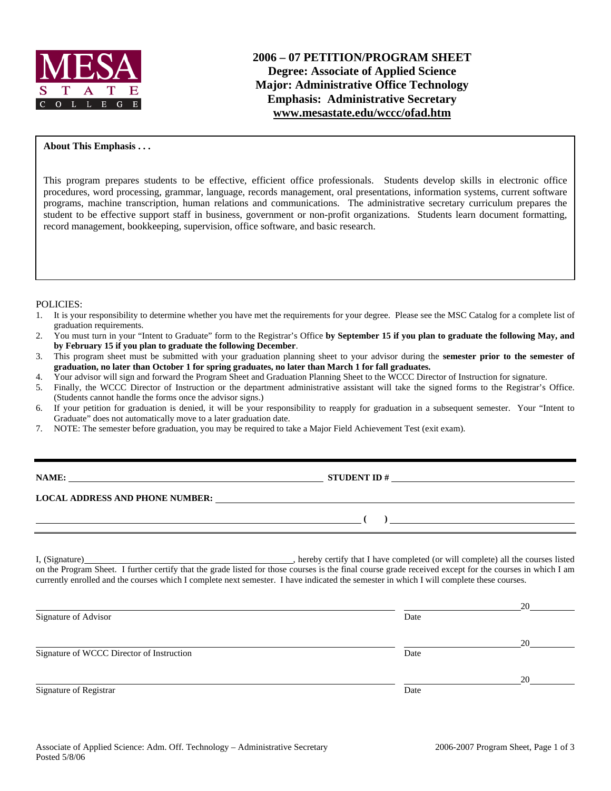

### **About This Emphasis . . .**

This program prepares students to be effective, efficient office professionals. Students develop skills in electronic office procedures, word processing, grammar, language, records management, oral presentations, information systems, current software programs, machine transcription, human relations and communications. The administrative secretary curriculum prepares the student to be effective support staff in business, government or non-profit organizations. Students learn document formatting, record management, bookkeeping, supervision, office software, and basic research.

#### POLICIES:

- 1. It is your responsibility to determine whether you have met the requirements for your degree. Please see the MSC Catalog for a complete list of graduation requirements.
- 2. You must turn in your "Intent to Graduate" form to the Registrar's Office **by September 15 if you plan to graduate the following May, and by February 15 if you plan to graduate the following December**.
- 3. This program sheet must be submitted with your graduation planning sheet to your advisor during the **semester prior to the semester of graduation, no later than October 1 for spring graduates, no later than March 1 for fall graduates.**
- 4. Your advisor will sign and forward the Program Sheet and Graduation Planning Sheet to the WCCC Director of Instruction for signature.
- 5. Finally, the WCCC Director of Instruction or the department administrative assistant will take the signed forms to the Registrar's Office. (Students cannot handle the forms once the advisor signs.)
- 6. If your petition for graduation is denied, it will be your responsibility to reapply for graduation in a subsequent semester. Your "Intent to Graduate" does not automatically move to a later graduation date.
- 7. NOTE: The semester before graduation, you may be required to take a Major Field Achievement Test (exit exam).

| <b>NAME:</b> |
|--------------|
|--------------|

**NAME: STUDENT ID #**

 **( )** 

**LOCAL ADDRESS AND PHONE NUMBER:**

I, (Signature) , hereby certify that I have completed (or will complete) all the courses listed on the Program Sheet. I further certify that the grade listed for those courses is the final course grade received except for the courses in which I am currently enrolled and the courses which I complete next semester. I have indicated the semester in which I will complete these courses.

|                                           |      | 20 |
|-------------------------------------------|------|----|
| Signature of Advisor                      | Date |    |
|                                           |      | 20 |
| Signature of WCCC Director of Instruction | Date |    |
|                                           |      | 20 |
| Signature of Registrar                    | Date |    |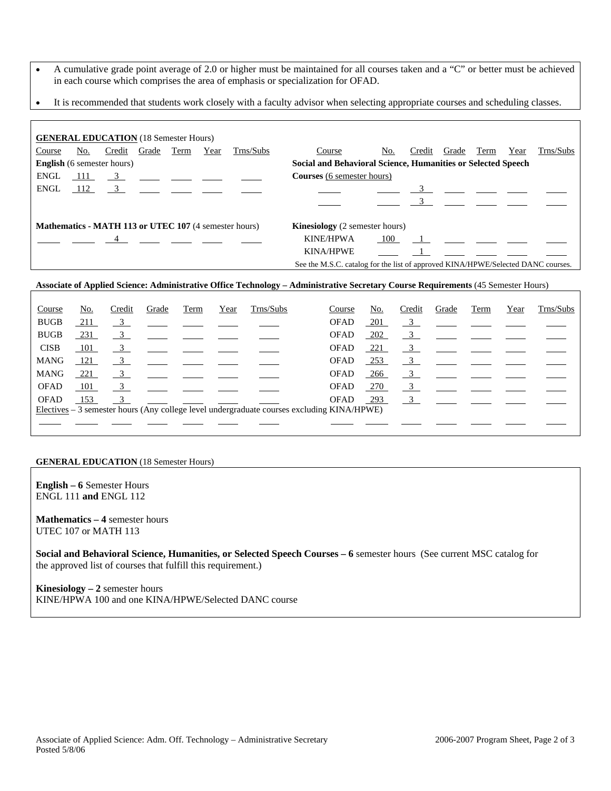- A cumulative grade point average of 2.0 or higher must be maintained for all courses taken and a "C" or better must be achieved in each course which comprises the area of emphasis or specialization for OFAD.
- It is recommended that students work closely with a faculty advisor when selecting appropriate courses and scheduling classes.

| <b>GENERAL EDUCATION</b> (18 Semester Hours) |     |                                                                                                                                                                                                                                                                                                                                                                      |      |      |                                                              |                                                                                  |     |        |                |      |      |           |
|----------------------------------------------|-----|----------------------------------------------------------------------------------------------------------------------------------------------------------------------------------------------------------------------------------------------------------------------------------------------------------------------------------------------------------------------|------|------|--------------------------------------------------------------|----------------------------------------------------------------------------------|-----|--------|----------------|------|------|-----------|
| Course                                       | No. | Credit Grade                                                                                                                                                                                                                                                                                                                                                         | Term | Year | Trns/Subs                                                    | Course                                                                           | No. | Credit | Grade          | Term | Year | Trns/Subs |
| <b>English</b> (6 semester hours)            |     |                                                                                                                                                                                                                                                                                                                                                                      |      |      |                                                              | Social and Behavioral Science, Humanities or Selected Speech                     |     |        |                |      |      |           |
| ENGL                                         |     | $\frac{111}{2}$ $\frac{3}{2}$ $\frac{11}{2}$ $\frac{3}{2}$ $\frac{11}{2}$ $\frac{3}{2}$ $\frac{11}{2}$ $\frac{3}{2}$ $\frac{11}{2}$ $\frac{3}{2}$ $\frac{11}{2}$ $\frac{3}{2}$ $\frac{11}{2}$ $\frac{3}{2}$ $\frac{11}{2}$ $\frac{3}{2}$ $\frac{11}{2}$ $\frac{3}{2}$ $\frac{11}{2}$ $\frac{3}{2}$ $\frac{11}{2}$                                                    |      |      |                                                              | <b>Courses</b> (6 semester hours)                                                |     |        |                |      |      |           |
| ENGL                                         |     |                                                                                                                                                                                                                                                                                                                                                                      |      |      | $112 \t 3$                                                   |                                                                                  |     |        | $\overline{3}$ |      |      |           |
|                                              |     |                                                                                                                                                                                                                                                                                                                                                                      |      |      |                                                              |                                                                                  |     |        |                |      |      |           |
|                                              |     |                                                                                                                                                                                                                                                                                                                                                                      |      |      | <b>Mathematics - MATH 113 or UTEC 107</b> (4 semester hours) | <b>Kinesiology</b> (2 semester hours)                                            |     |        |                |      |      |           |
|                                              |     | $\frac{4}{\sqrt{2}}$ $\frac{4}{\sqrt{2}}$ $\frac{4}{\sqrt{2}}$ $\frac{4}{\sqrt{2}}$ $\frac{4}{\sqrt{2}}$ $\frac{4}{\sqrt{2}}$ $\frac{4}{\sqrt{2}}$ $\frac{4}{\sqrt{2}}$ $\frac{4}{\sqrt{2}}$ $\frac{4}{\sqrt{2}}$ $\frac{4}{\sqrt{2}}$ $\frac{4}{\sqrt{2}}$ $\frac{4}{\sqrt{2}}$ $\frac{4}{\sqrt{2}}$ $\frac{4}{\sqrt{2}}$ $\frac{4}{\sqrt{2}}$ $\frac{4}{\sqrt{2}}$ |      |      |                                                              | <b>KINE/HPWA</b>                                                                 | 100 |        | $\mathbf 1$    |      |      |           |
|                                              |     |                                                                                                                                                                                                                                                                                                                                                                      |      |      |                                                              | <b>KINA/HPWE</b>                                                                 |     |        |                |      |      |           |
|                                              |     |                                                                                                                                                                                                                                                                                                                                                                      |      |      |                                                              | See the M.S.C. catalog for the list of approved KINA/HPWE/Selected DANC courses. |     |        |                |      |      |           |

### **Associate of Applied Science: Administrative Office Technology – Administrative Secretary Course Requirements** (45 Semester Hours)

| Course      | <u>No.</u> | Credit                  | Grade                                        | Term | Year | Trns/Subs                                                                                  | Course      | <u>No.</u> | Credit         | Grade                                                   | Term | Year | Trns/Subs |
|-------------|------------|-------------------------|----------------------------------------------|------|------|--------------------------------------------------------------------------------------------|-------------|------------|----------------|---------------------------------------------------------|------|------|-----------|
| <b>BUGB</b> | 211        | $\overline{3}$          |                                              |      |      |                                                                                            | <b>OFAD</b> | 201        |                | $\overline{3}$                                          |      |      |           |
| <b>BUGB</b> | 231        | $\frac{3}{2}$           |                                              |      |      |                                                                                            | OFAD        | <u>202</u> | $\frac{3}{2}$  |                                                         |      |      |           |
| <b>CISB</b> | 101        | $\frac{3}{2}$           |                                              |      |      |                                                                                            | <b>OFAD</b> | <u>221</u> | $\frac{3}{2}$  |                                                         |      |      |           |
| <b>MANG</b> | - 121      | 3                       |                                              |      |      |                                                                                            | <b>OFAD</b> | $-253$     | $\overline{3}$ | <u> 1989 - Jan Barnett, francuski politik († 1908)</u>  |      |      |           |
| <b>MANG</b> | 221        | $\overline{\mathbf{3}}$ | <u> 1990 - Jan James James Barbara, mart</u> |      |      |                                                                                            | <b>OFAD</b> | $-266$     |                | $\frac{3}{2}$ $\frac{1}{2}$ $\frac{1}{2}$ $\frac{1}{2}$ |      |      |           |
| <b>OFAD</b> | - 101      |                         | $\overline{3}$                               |      |      |                                                                                            | OFAD        | 270        | $\frac{3}{2}$  |                                                         |      |      |           |
| <b>OFAD</b> | 153        | $\overline{\mathbf{3}}$ |                                              |      |      |                                                                                            | <b>OFAD</b> | $-293$     |                | $\overline{3}$                                          |      |      |           |
|             |            |                         |                                              |      |      | Electives – 3 semester hours (Any college level undergraduate courses excluding KINA/HPWE) |             |            |                |                                                         |      |      |           |
|             |            |                         |                                              |      |      |                                                                                            |             |            |                |                                                         |      |      |           |

#### **GENERAL EDUCATION** (18 Semester Hours)

**English – 6** Semester Hours ENGL 111 **and** ENGL 112

**Mathematics – 4** semester hours UTEC 107 or MATH 113

**Social and Behavioral Science, Humanities, or Selected Speech Courses – 6** semester hours (See current MSC catalog for the approved list of courses that fulfill this requirement.)

**Kinesiology – 2** semester hours KINE/HPWA 100 and one KINA/HPWE/Selected DANC course